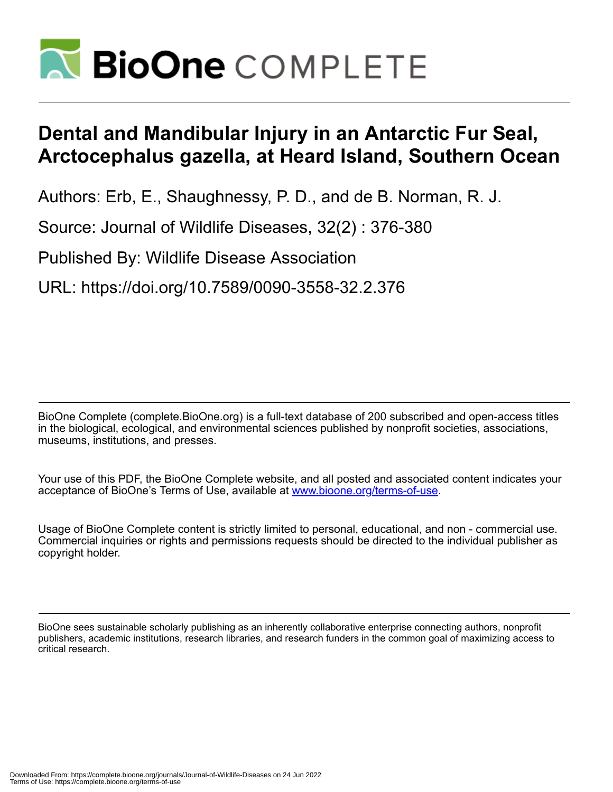

## **Dental and Mandibular Injury in an Antarctic Fur Seal, Arctocephalus gazella, at Heard Island, Southern Ocean**

Authors: Erb, E., Shaughnessy, P. D., and de B. Norman, R. J.

Source: Journal of Wildlife Diseases, 32(2) : 376-380

Published By: Wildlife Disease Association

URL: https://doi.org/10.7589/0090-3558-32.2.376

BioOne Complete (complete.BioOne.org) is a full-text database of 200 subscribed and open-access titles in the biological, ecological, and environmental sciences published by nonprofit societies, associations, museums, institutions, and presses.

Your use of this PDF, the BioOne Complete website, and all posted and associated content indicates your acceptance of BioOne's Terms of Use, available at www.bioone.org/terms-of-use.

Usage of BioOne Complete content is strictly limited to personal, educational, and non - commercial use. Commercial inquiries or rights and permissions requests should be directed to the individual publisher as copyright holder.

BioOne sees sustainable scholarly publishing as an inherently collaborative enterprise connecting authors, nonprofit publishers, academic institutions, research libraries, and research funders in the common goal of maximizing access to critical research.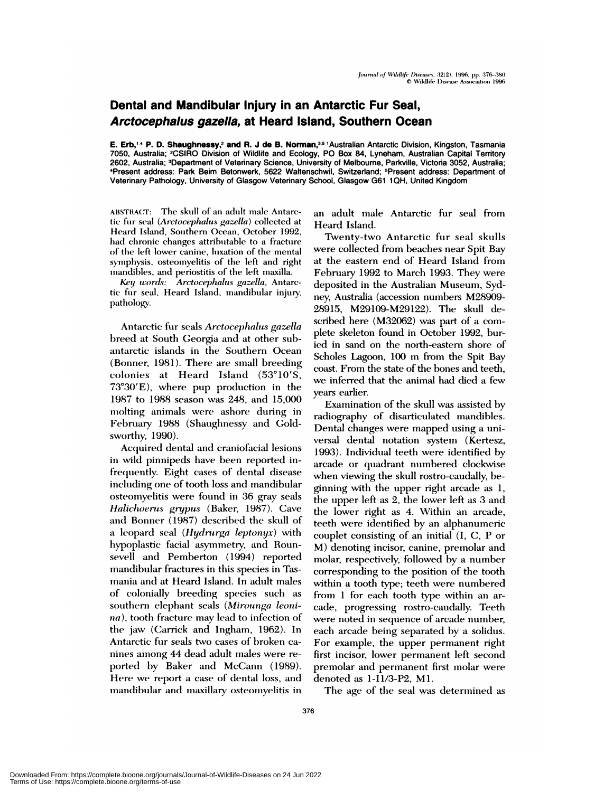## **Dental and Mandibular Injury in an Antarctic Fur Seal, Arctocephalus gazella, at Heard Island, Southern Ocean**

**E. Erb,'4 P. D. Shaughnessy,2 and R. J de B.** Norman,35 1Australian Antarctic Division, Kingston, Tasmania 7050, Australia; 2CSIRO Division of Wildlife and Ecology, P0 Box 84, Lyneham, Australian Capital Territory 2602, Australia; 3Department of Vetennary Science, University of Melbourne, Parkville, Victoria 3052, Australia; 4Present address: Park Beim Betonwerk, 5622 Waltenschwil, Switzerland; 5Present address: Department of Veterinary Pathology, University of Glasgow Veterinary School, Glasgow G61 1QH, United Kingdom

ABSTRACT: The skull of an adult male Antarctic fur seal *(Arctocephalus gazella)* collected at Heard Island, Southern Ocean, October 1992, had chronic changes attributable to a fracture of the left lower canine, luxation of the mental symphysis, osteomyelitis of the left and right mandibles, and periostitis of the left maxilla.

*Key words: Arctocep/zalu.s' gazella,* Antarctic fur seal, Heard Island, mandibular injury, pathology.

Antarctic fur seals *Arctocephalus gazella* breed at South Georgia and at other subantarctic islands in the Southern Ocean (Bonner, 1981). There are small breeding colonies at Heard Island (53°10'S,  $73^{\circ}30'E$ , where pup production in the 1987 to 1988 season was 248, and 15,000 molting animals were ashore during in February 1988 (Shaughnessy and Goldsworthy, 1990).

Acquired dental and craniofacial lesions in wild pinnipeds have been reported infrequently. Eight cases of dental disease including one of tooth loss and mandibular osteomyelitis were found in 36 gray seals *Halichoerus grypus* (Baker, 1987). Cave and Bonner (1987) described the skull of a leopard seal *(Hydrnrga leptonyx)* with hypoplastic facial asymmetry, and Rounsevell and Pemberton (1994) reported mandibular fractures in this species in Tasmania and at Heard Island. In adult males of colonially breeding species such as southern elephant seals (Mirounga leoni*na*), tooth fracture may lead to infection of the jaw (Carrick and Ingham, 1962). In Antarctic fur seals two cases of broken ca nines among 44 dead adult males were reported by Baker and McCann (1989). *Here we* report a case of dental loss, and mandibular and maxillary osteomyelitis in an adult male Antarctic fur seal from Heard Island.

Twenty-two Antarctic fur seal skulls were collected from beaches near Spit Bay at the eastern end of Heard Island from February 1992 to March 1993. They were deposited in the Australian Museum, Sydney, Australia (accession numbers M28909- 28915, M29109-M29122). The skull described here (M32062) was part of a com plete skeleton found in October 1992, buried in sand on the north-eastern shore of Scholes Lagoon, 100 m from the Spit Bay coast. From the state of the bones and teeth, we inferred that the animal had died a few years earlier.

Examination of the skull was assisted by radiography of disarticulated mandibles. Dental changes were mapped using a universal dental notation system (Kertesz, 1993). Individual teeth were identified by arcade or quadrant numbered clockwise when viewing the skull rostro-caudally, beginning with the upper right arcade as 1, the upper left as 2, the lower left as 3 and the lower right as 4. Within an arcade, teeth were identified by an alphanumeric couplet consisting of an initial (I, C, P or M) denoting incisor, canine, premolar and molar, respectively, followed by a number corresponding to the position of the tooth within a tooth type; teeth were numbered from  $1$  for each tooth type within an arcade, progressing rostro-caudally. Teeth were noted in sequence of arcade number, each arcade being separated by a solidus. For example, the upper permanent right first incisor, lower permanent left second premolar and permanent first molar were denoted as 1-I1/3-P2, Ml.

The age of the seal was determined as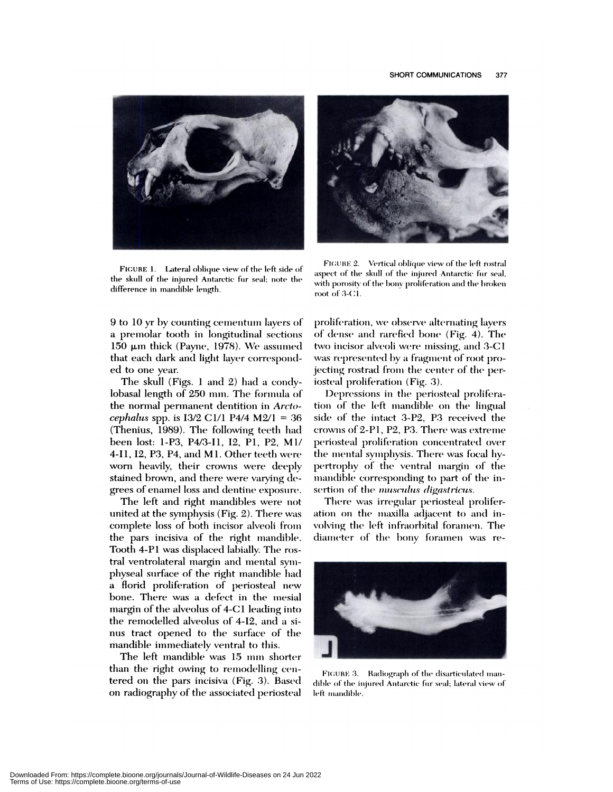

FIGURE 1. Lateral oblique view of the left side of the skull of the injured Antarctic fur seal; note the difference in mandible length.

9 to 10 yr by counting cementum layers of a premolar tooth in longitudinal sections 150 µm thick (Payne, 1978). We assumed that each dark and light layer corresponded to one year.

The skull (Figs. 1 and 2) had a condylobasal length of 250 mm. The formula of the normal permanent dentition in Arctocephalus spp. is  $13/2$  C1/1 P4/4 M2/1 = 36 (Thenius, 1989). The following teeth had been lost: 1-P3, P4/3-I1, I2, P1, P2, M1/ 4-I1, I2, P3, P4, and M1. Other teeth were worn heavily, their crowns were deeply stained brown, and there were varying degrees of enamel loss and dentine exposure.

The left and right mandibles were not united at the symphysis (Fig. 2). There was complete loss of both incisor alveoli from the pars incisiva of the right mandible. Tooth 4-P1 was displaced labially. The rostral ventrolateral margin and mental symphyseal surface of the right mandible had a florid proliferation of periosteal new bone. There was a defect in the mesial margin of the alveolus of 4-C1 leading into the remodelled alveolus of 4-I2, and a sinus tract opened to the surface of the mandible immediately ventral to this.

The left mandible was 15 mm shorter than the right owing to remodelling centered on the pars incisiva (Fig. 3). Based on radiography of the associated periosteal



FIGURE 2. Vertical oblique view of the left rostral aspect of the skull of the injured Antarctic fur seal, with porosity of the bony proliferation and the broken root of 3-C1.

proliferation, we observe alternating layers of dense and rarefied bone (Fig. 4). The two incisor alveoli were missing, and 3-C1 was represented by a fragment of root projecting rostrad from the center of the periosteal proliferation (Fig. 3).

Depressions in the periosteal proliferation of the left mandible on the lingual side of the intact 3-P2, P3 received the crowns of 2-P1, P2, P3. There was extreme periosteal proliferation concentrated over the mental symphysis. There was focal hypertrophy of the ventral margin of the mandible corresponding to part of the insertion of the musculus digastricus.

There was irregular periosteal proliferation on the maxilla adjacent to and involving the left infraorbital foramen. The diameter of the bony foramen was re-



FIGURE 3. Radiograph of the disarticulated mandible of the injured Antarctic fur seal; lateral view of left mandible.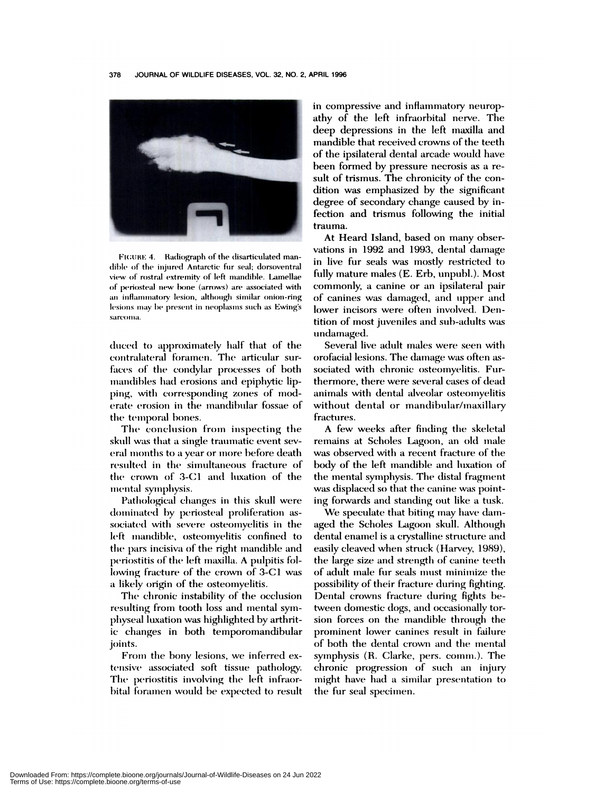

FIGURE 4. Radiograph of the disarticulated mandible of the injured Antarctic fur seal; dorsoventral view of rostral extremity of left mandible. Lamellae of periosteal new bone (arrows) are associated with an inflammatory lesion, although similar onion-ring lesions may be present in neoplasms such as Ewing's sareoma.

duced to approximately half that of the contralateral foramen. The articular surfaces of the condylar processes of both mandibles had erosions and epiphytic lipping, with corresponding zones of moderate erosion in the mandibular fossae of the temporal bones.

The conclusion from inspecting the skull was that a single traumatic event several months to a year or more before death resulted in the simultaneous fracture of the crown of 3-C1 and luxation of the mental symphysis.

Pathological changes in this skull were dominated by periosteal proliferation associated with severe osteomyelitis in the left mandible, osteomyelitis confined to the pars incisiva of the right mandible and periostitis of the left maxilla. A pulpitis following fracture of the crown of 3-C1 was a likely origin of the osteomyelitis.

The chronic instability of the occlusion resulting from tooth loss and mental symphyseal luxation was highlighted by arthritic changes in both temporomandibular joints.

From the bony lesions, we inferred extensive associated soft tissue pathology. The periostitis involving the left infraorbital foramen would be expected to result in compressive and inflammatory neuropathy of the left infraorbital nerve. The deep depressions in the left maxilla and mandible that received crowns of the teeth of the ipsilateral dental arcade would have been formed by pressure necrosis as a result of trismus. The chronicity of the condition was emphasized by the significant degree of secondary change caused by infection and trismus following the initial trauma.

At Heard Island, based on many observations in 1992 and 1993, dental damage in live fur seals was mostly restricted to fully mature males (E. Erb, unpubl.). Most commonly, a canine or an ipsilateral pair of canines was damaged, and upper and lower incisors were often involved. Dentition of most juveniles and sub-adults was undamaged.

Several live adult males were seen with orofacial lesions. The damage was often associated with chronic osteomyelitis. Furthermore, there were several cases of dead animals with dental alveolar osteomyelitis without dental or mandibular/maxillary fractures.

A few weeks after finding the skeletal remains at Scholes Lagoon, an old male was observed with a recent fracture of the body of the left mandible and luxation of the mental symphysis. The distal fragment was displaced so that the canine was pointing forwards and standing out like a tusk.

We speculate that biting may have damaged the Scholes Lagoon skull. Although dental enamel is a crystalline structure and easily cleaved when struck (Harvey, 1989), the large size and strength of canine teeth of adult male fur seals must minimize the possibility of their fracture during fighting. Dental crowns fracture during fights between domestic dogs, and occasionally torsion forces on the mandible through the prominent lower canines result in failure of both the dental crown and the mental symphysis (R. Clarke, pers. comm.). The chronic progression of such an injury might have had a similar presentation to the fur seal specimen.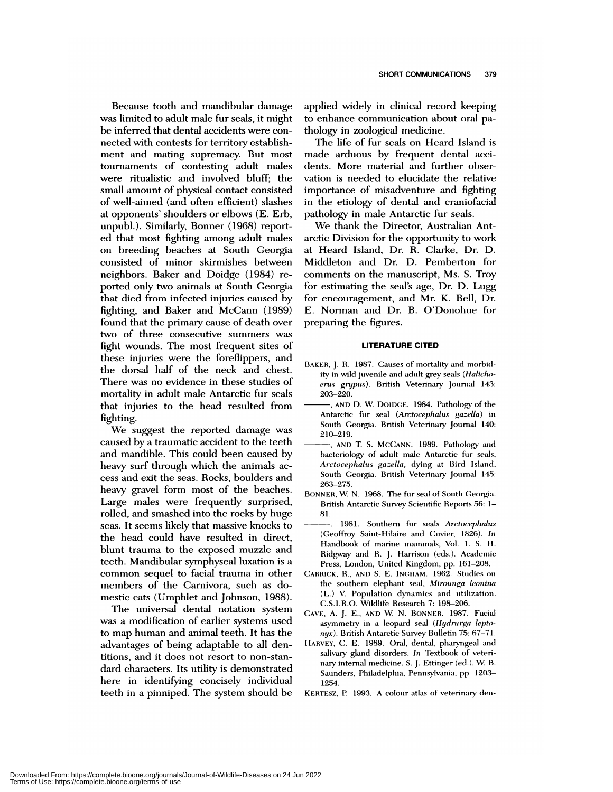Because tooth and mandibular damage was limited to adult male fur seals, it might be inferred that dental accidents were con nected with contests for territory establishment and mating supremacy. But most tournaments of contesting adult males were ritualistic and involved bluff; the small amount of physical contact consisted of well-aimed (and often efficient) slashes at opponents' shoulders or elbows (E. Erb, unpubi.). Similarly, Bonner (1968) reported that most fighting among adult males on breeding beaches at South Georgia consisted of minor skirmishes between neighbors. Baker and Doidge (1984) re ported only two animals at South Georgia that died from infected injuries caused by fighting, and Baker and McCann (1989) found that the primary cause of death over two of three consecutive summers was fight wounds. The most frequent sites of these injuries were the foreflippers, and the dorsal half of the neck and chest. There was no evidence in these studies of mortality in adult male Antarctic fur seals that injuries to the head resulted from fighting.

We suggest the reported damage was caused by a traumatic accident to the teeth and mandible. This could been caused by heavy surf through which the animals ac cess and exit the seas. Rocks, boulders and heavy gravel form most of the beaches. Large males were frequently surprised, rolled, and smashed into the rocks by huge seas. It seems likely that massive knocks to the head could have resulted in direct, blunt trauma to the exposed muzzle and teeth. Mandibular symphyseal luxation is a common sequel to facial trauma in other members of the Carnivora, such as domestic cats (Umphiet and Johnson, 1988).

The universal dental notation system was a modification of earlier systems used to map human and animal teeth. It has the advantages of being adaptable to all dentitions, and it does not resort to non-stan dard characters. Its utility is demonstrated here in identifying concisely individual teeth in a pinniped. The system should be applied widely in clinical record keeping to enhance communication about oral pathology in zoological medicine.

The life of fur seals on Heard Island is made arduous by frequent dental accidents. More material and further observation is needed to elucidate the relative importance of misadventure and fighting in the etiology of dental and craniofaciai pathology in male Antarctic fur seals.

We thank the Director, Australian Antarctic Division for the opportunity to work at Heard Island, Dr. R. Clarke, Dr. D. Middleton and Dr. D. Pemberton for comments on the manuscript, Ms. S. Troy for estimating the seal's age, Dr. D. Lugg for encouragement, and Mr. K. Bell, Dr. E. Norman and Dr. B. O'Donohue for preparing the figures.

## **LITERATURE CITED**

- BAKER, J. R. 1987. Causes of mortality and morbidity in wild juvenile and adult grey seals *(Halicho* eruc *grypuc).* British Veterinary Journal 143: 203-220.
- **AND** D. W D0IDGE. 1984. Pathology of the Antarctic fur seal *(Arctocephalus gazella)* in South Georgia. British Veterinary Journal 140: 210-219.
- **AND** T.S. McCANN. 1989. Pathology and bacteriology of adult male Antarctic fur seals, *Arctocephalus gazella,* dying at Bird Island, South Georgia. British Veterinary Journal 145: 263-275.
- BONNER, W. N. 1968. The fur seal of South Georgia. British Antarctic Survey Scientific Reports 56: 1- 81.
- 1981. Southern fur seals *Arctoccphalus* (Geoffroy Saint-Hilaire and Cuvier, 1826). In Handbook of marine mammals, Vol. 1. 5. II. Ridgway and R. J. Harrison (eds.). Academic Press, London, United Kingdom, pp. 161-208.
- CARRICK, R., **AND** S.E. INCHAM. 1962. Studies on the southern elephant seal, *Mirounga leonina* (L.) V. Population dynamics and utilization. C.S.I.R.O. Wildlife Research *7:* 198-206.
- CAVE, A. J. E., AND W. N. BONNER. 1987. Facial asymmetry in a leopard seal *(Hydrurga lepto* $nyx$ ). British Antarctic Survey Bulletin 75: 67-71.
- HARVEY, C. E. 1989. Oral, dental, pharyngeal and salivary gland disorders. *In* Textbook of veteri nary internal medicine. S. J. Ettinger (ed). W. B. Saunders, Philadelphia, Pennsylvania, pp. 1203-1254.
- KERTESZ, P. 1993. A colour atlas of veterinary den-